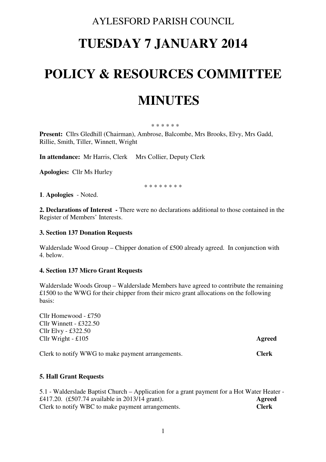## AYLESFORD PARISH COUNCIL

# **TUESDAY 7 JANUARY 2014**

## **POLICY & RESOURCES COMMITTEE**

## **MINUTES**

### \* \* \* \* \* \*

**Present:** Cllrs Gledhill (Chairman), Ambrose, Balcombe, Mrs Brooks, Elvy, Mrs Gadd, Rillie, Smith, Tiller, Winnett, Wright

**In attendance:** Mr Harris, Clerk Mrs Collier, Deputy Clerk

**Apologies:** Cllr Ms Hurley

\* \* \* \* \* \* \* \*

**1**. **Apologies** - Noted.

**2. Declarations of Interest -** There were no declarations additional to those contained in the Register of Members' Interests.

### **3. Section 137 Donation Requests**

Walderslade Wood Group – Chipper donation of £500 already agreed. In conjunction with 4. below.

### **4. Section 137 Micro Grant Requests**

Walderslade Woods Group – Walderslade Members have agreed to contribute the remaining £1500 to the WWG for their chipper from their micro grant allocations on the following basis:

Cllr Homewood - £750 Cllr Winnett - £322.50 Cllr Elvy - £322.50 Cllr Wright - £105 **Agreed** 

Clerk to notify WWG to make payment arrangements. **Clerk** 

### **5. Hall Grant Requests**

5.1 - Walderslade Baptist Church – Application for a grant payment for a Hot Water Heater - £417.20. (£507.74 available in 2013/14 grant). **Agreed**  Clerk to notify WBC to make payment arrangements. **Clerk**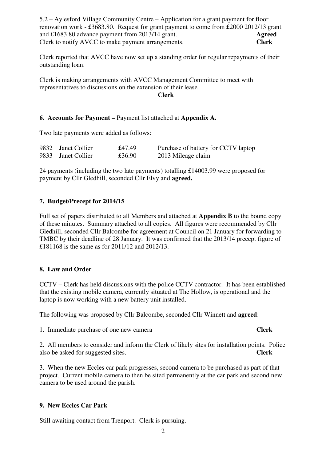5.2 – Aylesford Village Community Centre – Application for a grant payment for floor renovation work - £3683.80. Request for grant payment to come from £2000 2012/13 grant and £1683.80 advance payment from 2013/14 grant. **Agreed**  Clerk to notify AVCC to make payment arrangements. **Clerk** 

Clerk reported that AVCC have now set up a standing order for regular repayments of their outstanding loan.

Clerk is making arrangements with AVCC Management Committee to meet with representatives to discussions on the extension of their lease.

### **Clerk**

### **6. Accounts for Payment –** Payment list attached at **Appendix A.**

Two late payments were added as follows:

| 9832 Janet Collier | £47.49 | Purchase of battery for CCTV laptop |
|--------------------|--------|-------------------------------------|
| 9833 Janet Collier | £36.90 | 2013 Mileage claim                  |

24 payments (including the two late payments) totalling £14003.99 were proposed for payment by Cllr Gledhill, seconded Cllr Elvy and **agreed.** 

### **7. Budget/Precept for 2014/15**

Full set of papers distributed to all Members and attached at **Appendix B** to the bound copy of these minutes. Summary attached to all copies. All figures were recommended by Cllr Gledhill, seconded Cllr Balcombe for agreement at Council on 21 January for forwarding to TMBC by their deadline of 28 January. It was confirmed that the 2013/14 precept figure of £181168 is the same as for 2011/12 and 2012/13.

### **8. Law and Order**

CCTV – Clerk has held discussions with the police CCTV contractor. It has been established that the existing mobile camera, currently situated at The Hollow, is operational and the laptop is now working with a new battery unit installed.

The following was proposed by Cllr Balcombe, seconded Cllr Winnett and **agreed**:

1. Immediate purchase of one new camera **Clerk** 

### 2. All members to consider and inform the Clerk of likely sites for installation points. Police also be asked for suggested sites. **Clerk**

3. When the new Eccles car park progresses, second camera to be purchased as part of that project. Current mobile camera to then be sited permanently at the car park and second new camera to be used around the parish.

### **9. New Eccles Car Park**

Still awaiting contact from Trenport. Clerk is pursuing.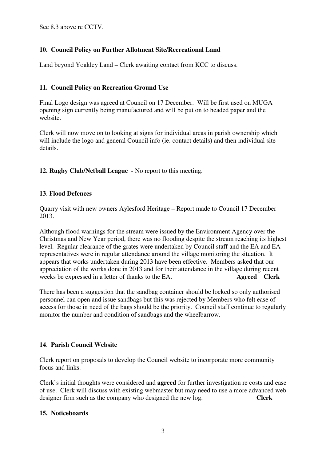See 8.3 above re CCTV.

### **10. Council Policy on Further Allotment Site/Recreational Land**

Land beyond Yoakley Land – Clerk awaiting contact from KCC to discuss.

### **11. Council Policy on Recreation Ground Use**

Final Logo design was agreed at Council on 17 December. Will be first used on MUGA opening sign currently being manufactured and will be put on to headed paper and the website.

Clerk will now move on to looking at signs for individual areas in parish ownership which will include the logo and general Council info (ie. contact details) and then individual site details.

**12. Rugby Club/Netball League** - No report to this meeting.

### **13**. **Flood Defences**

Quarry visit with new owners Aylesford Heritage – Report made to Council 17 December 2013.

Although flood warnings for the stream were issued by the Environment Agency over the Christmas and New Year period, there was no flooding despite the stream reaching its highest level. Regular clearance of the grates were undertaken by Council staff and the EA and EA representatives were in regular attendance around the village monitoring the situation. It appears that works undertaken during 2013 have been effective. Members asked that our appreciation of the works done in 2013 and for their attendance in the village during recent weeks be expressed in a letter of thanks to the EA. **Agreed Clerk** 

There has been a suggestion that the sandbag container should be locked so only authorised personnel can open and issue sandbags but this was rejected by Members who felt ease of access for those in need of the bags should be the priority. Council staff continue to regularly monitor the number and condition of sandbags and the wheelbarrow.

### **14**. **Parish Council Website**

Clerk report on proposals to develop the Council website to incorporate more community focus and links.

Clerk's initial thoughts were considered and **agreed** for further investigation re costs and ease of use. Clerk will discuss with existing webmaster but may need to use a more advanced web designer firm such as the company who designed the new log. **Clerk** 

### **15. Noticeboards**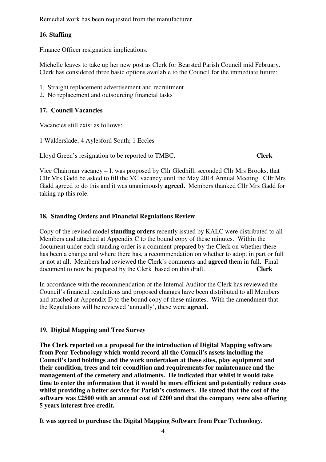Remedial work has been requested from the manufacturer.

### **16. Staffing**

Finance Officer resignation implications.

Michelle leaves to take up her new post as Clerk for Bearsted Parish Council mid February. Clerk has considered three basic options available to the Council for the immediate future:

- 1. Straight replacement advertisement and recruitment
- 2. No replacement and outsourcing financial tasks

### **17. Council Vacancies**

Vacancies still exist as follows:

1 Walderslade; 4 Aylesford South; 1 Eccles

Lloyd Green's resignation to be reported to TMBC. **Clerk** 

Vice Chairman vacancy – It was proposed by Cllr Gledhill, seconded Cllr Mrs Brooks, that Cllr Mrs Gadd be asked to fill the VC vacancy until the May 2014 Annual Meeting. Cllr Mrs Gadd agreed to do this and it was unanimously **agreed.** Members thanked Cllr Mrs Gadd for taking up this role.

### **18. Standing Orders and Financial Regulations Review**

Copy of the revised model **standing orders** recently issued by KALC were distributed to all Members and attached at Appendix C to the bound copy of these minutes. Within the document under each standing order is a comment prepared by the Clerk on whether there has been a change and where there has, a recommendation on whether to adopt in part or full or not at all. Members had reviewed the Clerk's comments and **agreed** them in full. Final document to now be prepared by the Clerk based on this draft. **Clerk** 

In accordance with the recommendation of the Internal Auditor the Clerk has reviewed the Council's financial regulations and proposed changes have been distributed to all Members and attached at Appendix D to the bound copy of these minutes. With the amendment that the Regulations will be reviewed 'annually', these were **agreed.** 

### **19. Digital Mapping and Tree Survey**

**The Clerk reported on a proposal for the introduction of Digital Mapping software from Pear Technology which would record all the Council's assets including the Council's land holdings and the work undertaken at these sites, play equipment and their condition, trees and teir ccondition and requirements for maintenance and the management of the cemetery and allotments. He indicated that whilst it would take time to enter the information that it would be more efficient and potentially reduce costs whilst providing a better service for Parish's customers. He stated that the cost of the software was £2500 with an annual cost of £200 and that the company were also offering 5 years interest free credit.** 

**It was agreed to purchase the Digital Mapping Software from Pear Technology.**